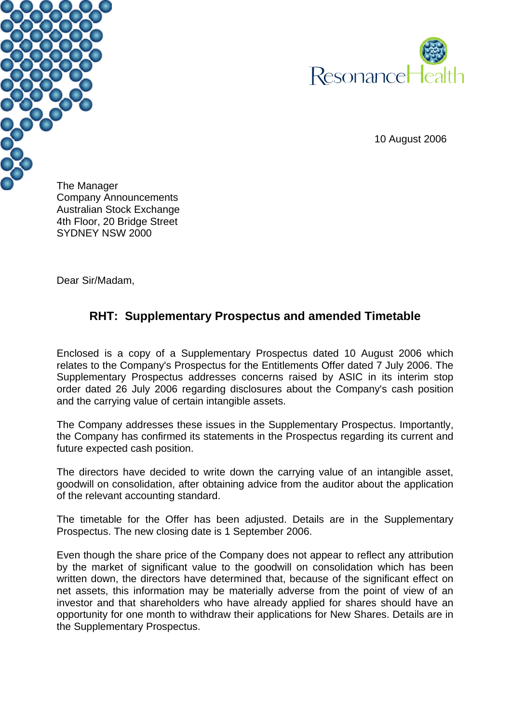



10 August 2006

The Manager Company Announcements Australian Stock Exchange 4th Floor, 20 Bridge Street SYDNEY NSW 2000

Dear Sir/Madam,

# **RHT: Supplementary Prospectus and amended Timetable**

Enclosed is a copy of a Supplementary Prospectus dated 10 August 2006 which relates to the Company's Prospectus for the Entitlements Offer dated 7 July 2006. The Supplementary Prospectus addresses concerns raised by ASIC in its interim stop order dated 26 July 2006 regarding disclosures about the Company's cash position and the carrying value of certain intangible assets.

The Company addresses these issues in the Supplementary Prospectus. Importantly, the Company has confirmed its statements in the Prospectus regarding its current and future expected cash position.

The directors have decided to write down the carrying value of an intangible asset, goodwill on consolidation, after obtaining advice from the auditor about the application of the relevant accounting standard.

The timetable for the Offer has been adjusted. Details are in the Supplementary Prospectus. The new closing date is 1 September 2006.

Even though the share price of the Company does not appear to reflect any attribution by the market of significant value to the goodwill on consolidation which has been written down, the directors have determined that, because of the significant effect on net assets, this information may be materially adverse from the point of view of an investor and that shareholders who have already applied for shares should have an opportunity for one month to withdraw their applications for New Shares. Details are in the Supplementary Prospectus.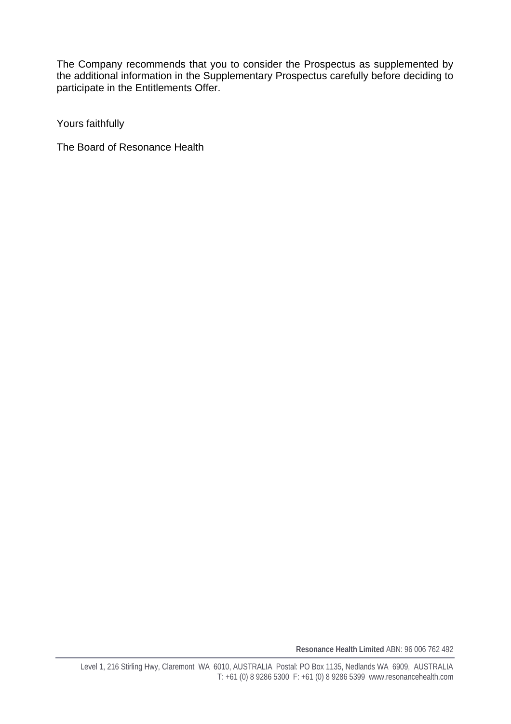The Company recommends that you to consider the Prospectus as supplemented by the additional information in the Supplementary Prospectus carefully before deciding to participate in the Entitlements Offer.

Yours faithfully

The Board of Resonance Health

**Resonance Health Limited** ABN: 96 006 762 492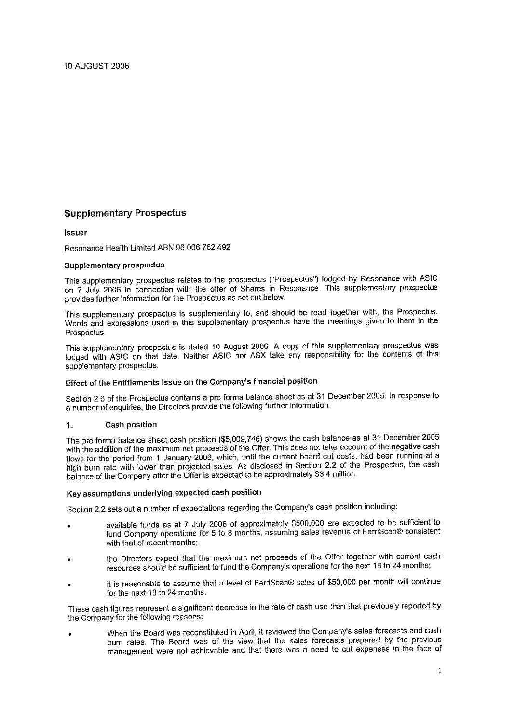# **Supplementary Prospectus**

**Issuer** 

Resonance Health Limited ABN 96 006 762 492

### **Supplementary prospectus**

This supplementary prospectus relates to the prospectus ("Prospectus") lodged by Resonance with ASIC on 7 July 2006 in connection with the offer of Shares in Resonance. This supplementary prospectus provides further information for the Prospectus as set out below.

This supplementary prospectus is supplementary to, and should be read together with, the Prospectus. Words and expressions used in this supplementary prospectus have the meanings given to them in the Prospectus.

This supplementary prospectus is dated 10 August 2006. A copy of this supplementary prospectus was lodged with ASIC on that date. Neither ASIC nor ASX take any responsibility for the contents of this supplementary prospectus.

# Effect of the Entitlements Issue on the Company's financial position

Section 2.6 of the Prospectus contains a pro forma balance sheet as at 31 December 2005. In response to a number of enquiries, the Directors provide the following further information.

#### **Cash position**  $1<sub>n</sub>$

The pro forma balance sheet cash position (\$5,009,746) shows the cash balance as at 31 December 2005 with the addition of the maximum net proceeds of the Offer. This does not take account of the negative cash flows for the period from 1 January 2006, which, until the current board cut costs, had been running at a high burn rate with lower than projected sales. As disclosed in Section 2.2 of the Prospectus, the cash balance of the Company after the Offer is expected to be approximately \$3.4 million.

### Key assumptions underlying expected cash position

Section 2.2 sets out a number of expectations regarding the Company's cash position including:

- available funds as at 7 July 2006 of approximately \$500,000 are expected to be sufficient to fund Company operations for 5 to 8 months, assuming sales revenue of FerriScan® consistent with that of recent months;
- the Directors expect that the maximum net proceeds of the Offer together with current cash resources should be sufficient to fund the Company's operations for the next 18 to 24 months;
- it is reasonable to assume that a level of FerriScan® sales of \$50,000 per month will continue for the next 18 to 24 months.

These cash figures represent a significant decrease in the rate of cash use than that previously reported by the Company for the following reasons:

When the Board was reconstituted in April, it reviewed the Company's sales forecasts and cash burn rates. The Board was of the view that the sales forecasts prepared by the previous management were not achievable and that there was a need to cut expenses in the face of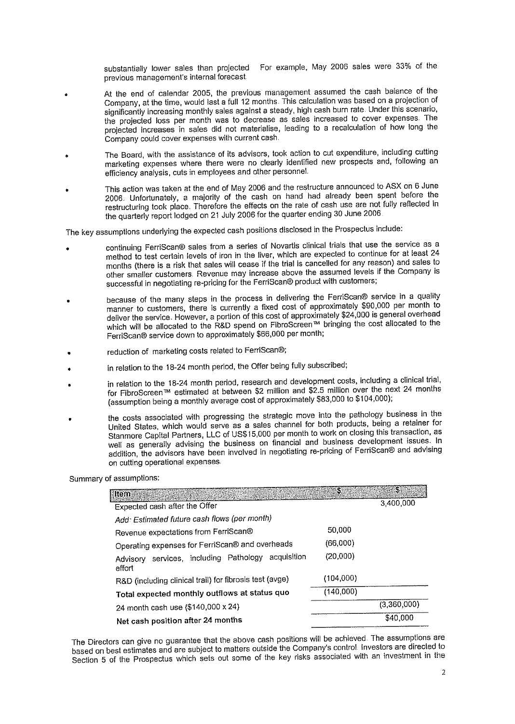For example, May 2006 sales were 33% of the substantially lower sales than projected previous management's internal forecast.

- At the end of calendar 2005, the previous management assumed the cash balance of the Company, at the time, would last a full 12 months. This calculation was based on a projection of significantly increasing monthly sales against a steady, high cash burn rate. Under this scenario, the projected loss per month was to decrease as sales increased to cover expenses. The projected increases in sales did not materialise, leading to a recalculation of how long the Company could cover expenses with current cash.
- The Board, with the assistance of its advisors, took action to cut expenditure, including cutting marketing expenses where there were no clearly identified new prospects and, following an efficiency analysis, cuts in employees and other personnel.
- This action was taken at the end of May 2006 and the restructure announced to ASX on 6 June 2006. Unfortunately, a majority of the cash on hand had already been spent before the restructuring took place. Therefore the effects on the rate of cash use are not fully reflected in the quarterly report lodged on 21 July 2006 for the quarter ending 30 June 2006.

The key assumptions underlying the expected cash positions disclosed in the Prospectus include:

- continuing FerriScan® sales from a series of Novartis clinical trials that use the service as a method to test certain levels of iron in the liver, which are expected to continue for at least 24 months (there is a risk that sales will cease if the trial is cancelled for any reason) and sales to other smaller customers. Revenue may increase above the assumed levels if the Company is successful in negotiating re-pricing for the FerriScan® product with customers;
- because of the many steps in the process in delivering the FerriScan® service in a quality manner to customers, there is currently a fixed cost of approximately \$90,000 per month to deliver the service. However, a portion of this cost of approximately \$24,000 is general overhead which will be allocated to the R&D spend on FibroScreen<sup>tM</sup> bringing the cost allocated to the FerriScan® service down to approximately \$66,000 per month;
- reduction of marketing costs related to FerriScan®;
- in relation to the 18-24 month period, the Offer being fully subscribed;
- in relation to the 18-24 month period, research and development costs, including a clinical trial, for FibroScreen™ estimated at between \$2 million and \$2.5 million over the next 24 months (assumption being a monthly average cost of approximately \$83,000 to \$104,000);
- the costs associated with progressing the strategic move into the pathology business in the United States, which would serve as a sales channel for both products, being a retainer for Stanmore Capital Partners, LLC of US\$15,000 per month to work on closing this transaction, as well as generally advising the business on financial and business development issues. In addition, the advisors have been involved in negotiating re-pricing of FerriScan® and advising on cutting operational expenses.

Summary of assumptions:

| <b>M</b> tern                                                   | S         | 57          |
|-----------------------------------------------------------------|-----------|-------------|
| Expected cash after the Offer                                   |           | 3,400,000   |
| Add: Estimated future cash flows (per month)                    |           |             |
| Revenue expectations from FerriScan®                            | 50.000    |             |
| Operating expenses for FerriScan® and overheads                 | (66,000)  |             |
| services, including Pathology acquisition<br>Advisory<br>effort | (20,000)  |             |
| R&D (including clinical trail) for fibrosis test (avge)         | (104,000) |             |
| Total expected monthly outflows at status quo                   | (140,000) |             |
| 24 month cash use (\$140,000 x 24)                              |           | (3,360,000) |
| Net cash position after 24 months                               |           | \$40,000    |

The Directors can give no guarantee that the above cash positions will be achieved. The assumptions are based on best estimates and are subject to matters outside the Company's control. Investors are directed to Section 5 of the Prospectus which sets out some of the key risks associated with an investment in the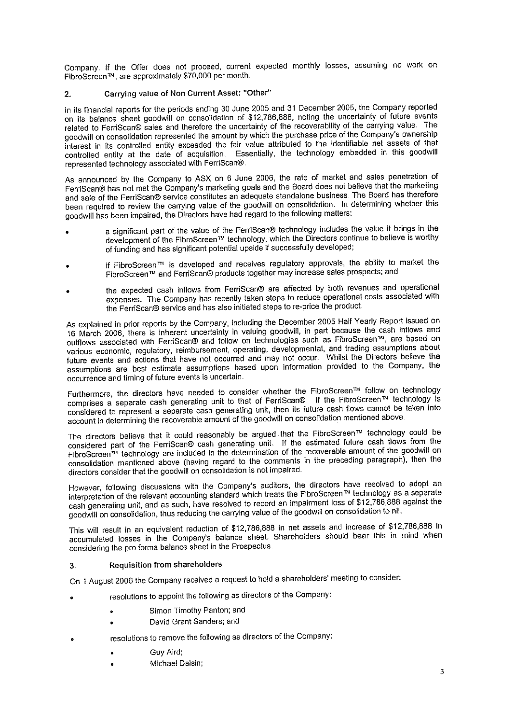Company. If the Offer does not proceed, current expected monthly losses, assuming no work on FibroScreen™, are approximately \$70,000 per month.

#### Carrying value of Non Current Asset: "Other"  $2.$

In its financial reports for the periods ending 30 June 2005 and 31 December 2005, the Company reported on its balance sheet goodwill on consolidation of \$12,786,888, noting the uncertainty of future events related to FerriScan® sales and therefore the uncertainty of the recoverability of the carrying value. The goodwill on consolidation represented the amount by which the purchase price of the Company's ownership interest in its controlled entity exceeded the fair value attributed to the identifiable net assets of that controlled entity at the date of acquisition. Essentially, the technology embedded in this goodwill represented technology associated with FerriScan®.

As announced by the Company to ASX on 6 June 2006, the rate of market and sales penetration of FerriScan® has not met the Company's marketing goals and the Board does not believe that the marketing and sale of the FerriScan® service constitutes an adequate standalone business. The Board has therefore been required to review the carrying value of the goodwill on consolidation. In determining whether this goodwill has been impaired, the Directors have had regard to the following matters:

- a significant part of the value of the FerriScan® technology includes the value it brings in the development of the FibroScreen™ technology, which the Directors continue to believe is worthy of funding and has significant potential upside if successfully developed;
- if FibroScreen™ is developed and receives regulatory approvals, the ability to market the FibroScreen™ and FerriScan® products together may increase sales prospects; and
- the expected cash inflows from FerriScan® are affected by both revenues and operational expenses. The Company has recently taken steps to reduce operational costs associated with the FerriScan® service and has also initiated steps to re-price the product.

As explained in prior reports by the Company, including the December 2005 Half Yearly Report issued on 16 March 2006, there is inherent uncertainty in valuing goodwill, in part because the cash inflows and outflows associated with FerriScan® and follow on technologies such as FibroScreen<sup>7M</sup>, are based on various economic, regulatory, reimbursement, operating, developmental, and trading assumptions about future events and actions that have not occurred and may not occur. Whilst the Directors believe the assumptions are best estimate assumptions based upon information provided to the Company, the occurrence and timing of future events is uncertain.

Furthermore, the directors have needed to consider whether the FibroScreen™ follow on technology comprises a separate cash generating unit to that of FerriScan®. If the FibroScreen™ technology is considered to represent a separate cash generating unit, then its future cash flows cannot be taken into account in determining the recoverable amount of the goodwill on consolidation mentioned above

The directors believe that it could reasonably be argued that the FibroScreen™ technology could be considered part of the FerriScan® cash generating unit. If the estimated future cash flows from the FibroScreen<sup>TM</sup> technology are included in the determination of the recoverable amount of the goodwill on consolidation mentioned above (having regard to the comments in the preceding paragraph), then the directors consider that the goodwill on consolidation is not impaired.

However, following discussions with the Company's auditors, the directors have resolved to adopt an interpretation of the relevant accounting standard which treats the FibroScreen™ technology as a separate cash generating unit, and as such, have resolved to record an impairment loss of \$12,786,888 against the goodwill on consolidation, thus reducing the carrying value of the goodwill on consolidation to nil.

This will result in an equivalent reduction of \$12,786,888 in net assets and increase of \$12,786,888 in accumulated losses in the Company's balance sheet. Shareholders should bear this in mind when considering the pro forma balance sheet in the Prospectus.

#### **Requisition from shareholders**  $3<sub>l</sub>$

On 1 August 2006 the Company received a request to hold a shareholders' meeting to consider:

- resolutions to appoint the following as directors of the Company:
	- Simon Timothy Panton; and
	- David Grant Sanders; and
- resolutions to remove the following as directors of the Company:  $\overline{a}$ 
	- Guv Aird:
	- Michael Dalsin;